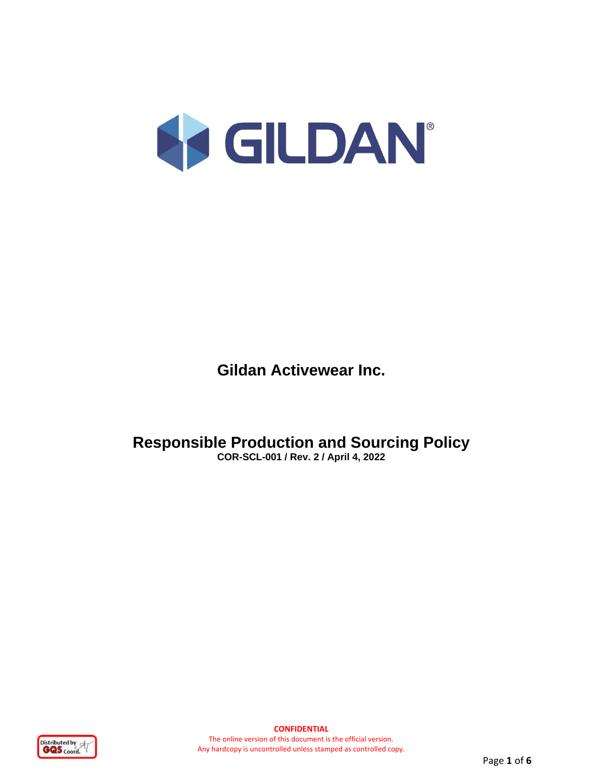

**Gildan Activewear Inc.**

**Responsible Production and Sourcing Policy COR-SCL-001 / Rev. 2 / April 4, 2022**

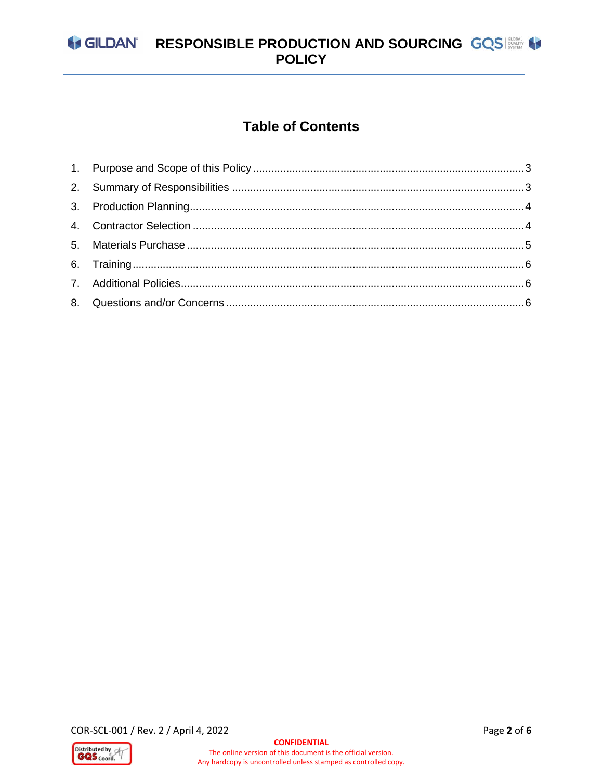# GILDAN' RESPONSIBLE PRODUCTION AND SOURCING GQS

# **Table of Contents**

COR-SCL-001 / Rev. 2 / April 4, 2022

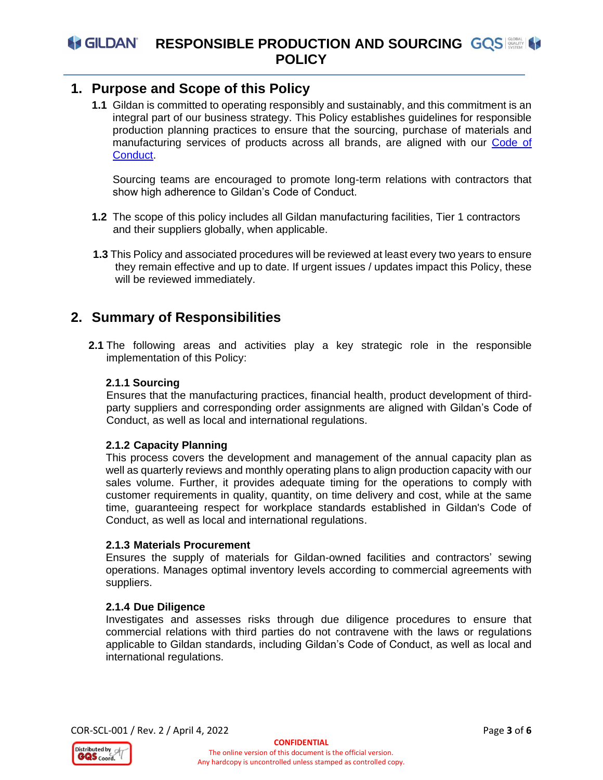### <span id="page-2-0"></span>**1. Purpose and Scope of this Policy**

**1.1** Gildan is committed to operating responsibly and sustainably, and this commitment is an integral part of our business strategy. This Policy establishes guidelines for responsible production planning practices to ensure that the sourcing, purchase of materials and manufacturing services of products across all brands, are aligned with our [Code of](https://gildancorp.com/media/uploads/global/plugin/bcode_of_conduct_eng.pdf)  [Conduct.](https://gildancorp.com/media/uploads/global/plugin/bcode_of_conduct_eng.pdf)

Sourcing teams are encouraged to promote long-term relations with contractors that show high adherence to Gildan's Code of Conduct.

- **1.2** The scope of this policy includes all Gildan manufacturing facilities, Tier 1 contractors and their suppliers globally, when applicable.
- **1.3** This Policy and associated procedures will be reviewed at least every two years to ensure they remain effective and up to date. If urgent issues / updates impact this Policy, these will be reviewed immediately.

# <span id="page-2-1"></span>**2. Summary of Responsibilities**

**2.1** The following areas and activities play a key strategic role in the responsible implementation of this Policy:

#### **2.1.1 Sourcing**

Ensures that the manufacturing practices, financial health, product development of thirdparty suppliers and corresponding order assignments are aligned with Gildan's Code of Conduct, as well as local and international regulations.

#### **2.1.2 Capacity Planning**

This process covers the development and management of the annual capacity plan as well as quarterly reviews and monthly operating plans to align production capacity with our sales volume. Further, it provides adequate timing for the operations to comply with customer requirements in quality, quantity, on time delivery and cost, while at the same time, guaranteeing respect for workplace standards established in Gildan's Code of Conduct, as well as local and international regulations.

#### **2.1.3 Materials Procurement**

Ensures the supply of materials for Gildan-owned facilities and contractors' sewing operations. Manages optimal inventory levels according to commercial agreements with suppliers.

#### **2.1.4 Due Diligence**

Investigates and assesses risks through due diligence procedures to ensure that commercial relations with third parties do not contravene with the laws or regulations applicable to Gildan standards, including Gildan's Code of Conduct, as well as local and international regulations.

COR-SCL-001 / Rev. 2 / April 4, 2022 Page **3** of **6**

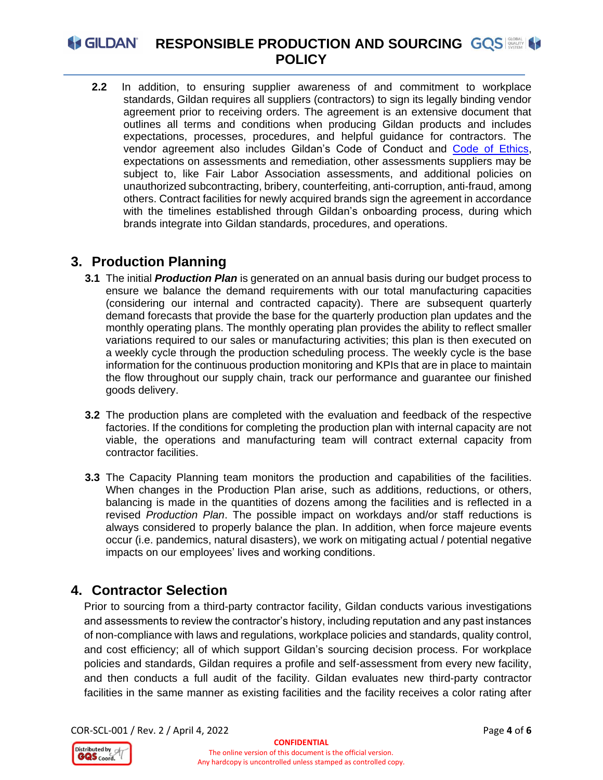# **A GILDAN RESPONSIBLE PRODUCTION AND SOURCING GOS POLICY**

**2.2** In addition, to ensuring supplier awareness of and commitment to workplace standards, Gildan requires all suppliers (contractors) to sign its legally binding vendor agreement prior to receiving orders. The agreement is an extensive document that outlines all terms and conditions when producing Gildan products and includes expectations, processes, procedures, and helpful guidance for contractors. The vendor agreement also includes Gildan's Code of Conduct and [Code of Ethics,](https://gildancorp.com/media/uploads/global/plugin/bcode_of_ethics_-_updated_2.15.22.pdf) expectations on assessments and remediation, other assessments suppliers may be subject to, like Fair Labor Association assessments, and additional policies on unauthorized subcontracting, bribery, counterfeiting, anti-corruption, anti-fraud, among others. Contract facilities for newly acquired brands sign the agreement in accordance with the timelines established through Gildan's onboarding process, during which brands integrate into Gildan standards, procedures, and operations.

# <span id="page-3-0"></span>**3. Production Planning**

- **3.1** The initial *Production Plan* is generated on an annual basis during our budget process to ensure we balance the demand requirements with our total manufacturing capacities (considering our internal and contracted capacity). There are subsequent quarterly demand forecasts that provide the base for the quarterly production plan updates and the monthly operating plans. The monthly operating plan provides the ability to reflect smaller variations required to our sales or manufacturing activities; this plan is then executed on a weekly cycle through the production scheduling process. The weekly cycle is the base information for the continuous production monitoring and KPIs that are in place to maintain the flow throughout our supply chain, track our performance and guarantee our finished goods delivery.
- **3.2** The production plans are completed with the evaluation and feedback of the respective factories. If the conditions for completing the production plan with internal capacity are not viable, the operations and manufacturing team will contract external capacity from contractor facilities.
- **3.3** The Capacity Planning team monitors the production and capabilities of the facilities. When changes in the Production Plan arise, such as additions, reductions, or others, balancing is made in the quantities of dozens among the facilities and is reflected in a revised *Production Plan*. The possible impact on workdays and/or staff reductions is always considered to properly balance the plan. In addition, when force majeure events occur (i.e. pandemics, natural disasters), we work on mitigating actual / potential negative impacts on our employees' lives and working conditions.

# <span id="page-3-1"></span>**4. Contractor Selection**

Prior to sourcing from a third-party contractor facility, Gildan conducts various investigations and assessments to review the contractor's history, including reputation and any past instances of non-compliance with laws and regulations, workplace policies and standards, quality control, and cost efficiency; all of which support Gildan's sourcing decision process. For workplace policies and standards, Gildan requires a profile and self-assessment from every new facility, and then conducts a full audit of the facility. Gildan evaluates new third-party contractor facilities in the same manner as existing facilities and the facility receives a color rating after

COR-SCL-001 / Rev. 2 / April 4, 2022 Page **4** of **6**

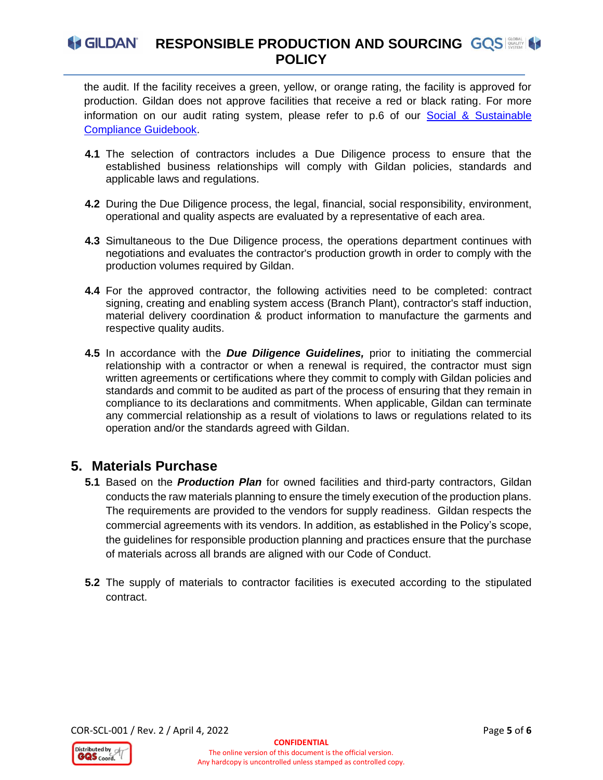the audit. If the facility receives a green, yellow, or orange rating, the facility is approved for production. Gildan does not approve facilities that receive a red or black rating. For more information on our audit rating system, please refer to p.6 of our [Social & Sustainable](https://gildancorp.com/media/uploads/policies/bgildans_social_and_sustainable_compliance_guidebook.pdf)  [Compliance Guidebook.](https://gildancorp.com/media/uploads/policies/bgildans_social_and_sustainable_compliance_guidebook.pdf)

- **4.1** The selection of contractors includes a Due Diligence process to ensure that the established business relationships will comply with Gildan policies, standards and applicable laws and regulations.
- **4.2** During the Due Diligence process, the legal, financial, social responsibility, environment, operational and quality aspects are evaluated by a representative of each area.
- **4.3** Simultaneous to the Due Diligence process, the operations department continues with negotiations and evaluates the contractor's production growth in order to comply with the production volumes required by Gildan.
- **4.4** For the approved contractor, the following activities need to be completed: contract signing, creating and enabling system access (Branch Plant), contractor's staff induction, material delivery coordination & product information to manufacture the garments and respective quality audits.
- **4.5** In accordance with the *Due Diligence Guidelines,* prior to initiating the commercial relationship with a contractor or when a renewal is required, the contractor must sign written agreements or certifications where they commit to comply with Gildan policies and standards and commit to be audited as part of the process of ensuring that they remain in compliance to its declarations and commitments. When applicable, Gildan can terminate any commercial relationship as a result of violations to laws or regulations related to its operation and/or the standards agreed with Gildan.

# <span id="page-4-0"></span>**5. Materials Purchase**

- **5.1** Based on the *Production Plan* for owned facilities and third-party contractors, Gildan conducts the raw materials planning to ensure the timely execution of the production plans. The requirements are provided to the vendors for supply readiness. Gildan respects the commercial agreements with its vendors. In addition, as established in the Policy's scope, the guidelines for responsible production planning and practices ensure that the purchase of materials across all brands are aligned with our Code of Conduct.
- **5.2** The supply of materials to contractor facilities is executed according to the stipulated contract.

COR-SCL-001 / Rev. 2 / April 4, 2022 Page **5** of **6**